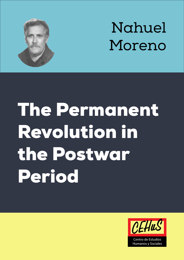

# Nahuel Moreno

# The Permanent Revolution in the Postwar Period

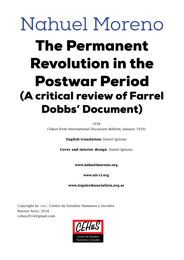## Nahuel Moreno The Permanent Revolution in the Postwar Period (A critical review of Farrel Dobbs' Document)

1958

(Taken from *International Discussion Bulletin,* January 1959)

**English translation:** Daniel Iglesias

**Cover and interior design**: Daniel Iglesias

**www.nahuelmoreno.org**

**www.uit-ci.org**

**www.izquierdasocialista.org.ar**

Copyright by  $CHus$ . Centro de Estudios Humanos y Sociales Buenos Aires, 2018 cehus2014@gmail.com

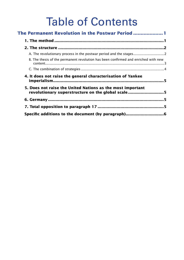### Table of Contents

| The Permanent Revolution in the Postwar Period  1                                                               |  |
|-----------------------------------------------------------------------------------------------------------------|--|
|                                                                                                                 |  |
|                                                                                                                 |  |
| A. The revolutionary process in the postwar period and the stages                                               |  |
| B. The thesis of the permanent revolution has been confirmed and enriched with new                              |  |
|                                                                                                                 |  |
| 4. It does not raise the general characterisation of Yankee                                                     |  |
| 5. Does not raise the United Nations as the most important<br>revolutionary superstructure on the global scale5 |  |
|                                                                                                                 |  |
|                                                                                                                 |  |
|                                                                                                                 |  |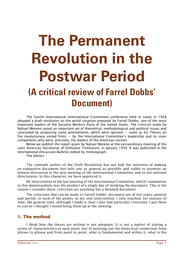### <span id="page-3-0"></span>**The Permanent Revolution in the Postwar Period (A critical review of Farrel Dobbs' Document)**

The Fourth International (International Committee) conference held in Leeds in 1958 adopted a draft resolution on the world situation prepared by Farrell Dobbs, one of the most important leaders of the Socialist Workers Party of the United States. The criticism made by Nahuel Moreno raised an important set of theoretical, methodological and political issues and concluded by proposing some amendments, which were ignored — same as his Theses on the revolutionary united front  $-$  by the International Committee's leadership and its main components who were, precisely, the leaders of the American section.

Below we publish the report given by Nahuel Moreno at the extraordinary meeting of the Latin American Secretariat of Orthodox Trotskyism, in January 1959. It was published in the *International Discussion Bulletin*, edited by mimeograph.

The Editors

The comrade author of the Draft Resolution has not had the intention of making an exhaustive document but only one as general as possible and viable to promote an intense discussion at the next meeting of the International Committee, and in our national directorates. In this character, we have approved it.

My intervention in the last meeting of the International Committee, which I summarise in this memorandum, was the product of a single day of studying the document. This is the reason I consider these criticisms are anything but a finished document.

The criticisms that can be made to Farrell Dobbs' document are of two types: general and partial, in each of the points. In my oral intervention, I only touched, for reasons of time, the general ones; although I made it clear I also had particular criticisms. I put them to you as I thought I would bring them up at the meeting.

#### **1. The method**

I think how the theses are written is not adequate. It is not a matter of stating a series of characteristics at each point, but of pointing out the dialectical connection from phrase to phrase and from point to point, what is fundamental and within it, what is the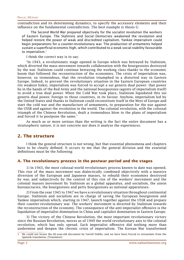<span id="page-4-0"></span>contradiction and its determining dynamics, to specify the accessory elements and their influence on the fundamental contradiction. The best example is thesis G:

The Second World War prepared objectively for the socialist revolution the workers of Eastern Europe. The Stalinists and Social Democrats weakened the revolution and helped restore the power of weak and discredited capitalism. Yankee imperialism could begin preparations for a counter-revolutionary war. The production of armaments helped sustain a superficial economic high, which contributed to a weak social stability favourable to imperialism.<sup>1</sup>

I think the correct way is to say:

"In 1943, a revolutionary stage opened in Europe which was betrayed by Stalinism, which diverted the mass movement towards collaboration with the bourgeoisies destroyed by the war. Stalinism could continue betraying the working class thanks to the economic boom that followed the reconstruction of the economies. The crisis of imperialism was, however, so tremendous, that the revolution triumphed in a distorted way in Eastern Europe. Indeed, to prevent the revolutionary situation in the Eastern European countries (its weakest links), imperialism was forced to accept a sui generis dual power: that power be in the hands of the Red Army and the national bourgeoisies (agents of imperialism itself) to avoid a true dual power. When the Cold War took place, Stalinism liquidated this sui generis dual power, foreign to those countries, in its favour. Anyhow, imperialism led by the United States and thanks to Stalinism could reconstitute itself in the West of Europe and start the cold war and the manufacture of armaments, to preparation for the war against the USSR and against the revolution in the world. The colonial revolution, with the colossal triumph of the Chinese Revolution, dealt a tremendous blow to the plans of imperialism and forced it to postpone the same."

As much as or more serious than the writing is the fact the entire document has a stratospheric nature, it is not concrete nor does it analyse the experiences.

#### **2. The structure**

I think the general structure is not wrong, but that essential phenomena and chapters have to be clearly defined. It occurs to me that the general division and the essential definitions must be the following:

#### **A. The revolutionary process in the postwar period and the stages**

1) In 1943, the most colossal world revolutionary process known to date was opened. This rise of the mass movement was dialectically combined objectively with a massive diversion of the European and Japanese masses, to rebuild their economies destroyed by war, and subjectively by the control of this rise of the workers' movement and the colonial masses movement by Stalinism as a global apparatus, and socialism, the union bureaucracies, the bourgeoisies and petty bourgeoisies as national apparatuses.

2) From the year 1945 to 1947 we have a revolutionary situation throughout continental Europe. Stalinism and socialism are in charge of saving the European bourgeoisie and Yankee imperialism which, starting in 1947, launch together against the USSR and prepare their counter-revolutionary war. The workers' movement is diverted by Stalinism towards the reconstruction of the economy. The consequence of the anti-imperialist offensive is the liquidation of imperialist domination in China and capitalist domination in Eastern Europe.

3) The victory of the Chinese Revolution, the most important revolutionary victory since the Russian Revolution, moves as of 1949 the world revolutionary axis to the colonial revolution, which has only spread. Each imperialist offensive did nothing more than undermine and deepen the chronic crisis of imperialism. The Korean War transformed

<sup>1</sup> We could not locate the 60-year-old document by Farrell Dobbs, and we have been forced to retranslate from the Spanish translation. [Translator]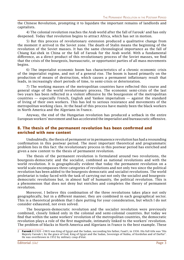<span id="page-5-0"></span>the Chinese Revolution, prompting it to liquidate the important remains of landlords and capitalists.

4) The colonial revolution reaches the Arab world after the fall of Farouk<sup>2</sup> and has only deepened. Today that revolution begins to attract Africa, which has set in motion.

5) But this process of revolutionary extension produced a qualitative change from the moment it arrived in the Soviet zone. The death of Stalin means the beginning of the revolution of the Soviet masses. It has the same chronological importance as the fall of Chiang Kai-shek in China or the fall of Farouk for the Arab world. With a fundamental difference, as a direct product of this revolutionary process of the Soviet masses, we find that the crisis of the bourgeois, bureaucratic, or opportunist parties of all mass movements begins.

6) The imperialist economic boom has characteristics of a chronic economic crisis of the imperialist regime, and not of a general rise. The boom is based primarily on the production of means of destruction, which causes a permanent inflationary result that leads, in increasingly short periods of time, to semi-crisis or deterioration.

7) The working masses of the metropolitan countries have reflected this course and general stage of the world revolutionary process. The economic semi-crisis of the last two years has been reflected in a violent offensive by the bourgeoisie of the metropolitan countries — especially French, English and Yankee imperialism — against the standard of living of their own workers. This has led to serious resistance and movements of the metropolitan working class. At the head of this process have mainly been the black workers in North America and the Algerians in France.

Anyway, the end of the Hungarian revolution has produced a setback in the entire European workers' movement and has accelerated the imperialist and bureaucratic offensive.

#### **B. The thesis of the permanent revolution has been confirmed and enriched with new content**

Undoubtedly, the thesis of permanent or in permanence revolution has had a resounding confirmation in this postwar period. The most important theoretical and programmatic problem lies in this fact: the revolutionary process in this postwar period has enriched and given a new content to the thesis of permanent revolution.

The thesis of the permanent revolution is formulated around two revolutions, the bourgeois-democratic and the socialist, combined as national revolutions and with the world revolution. It is geographically evident that today the permanent revolution on a world scale encompasses three categories of revolutions and not only two since the political revolution has been added to the bourgeois-democratic and socialist revolutions. The world proletariat is today faced with the task of carrying out not only the socialist and bourgeoisdemocratic revolutions but, in almost half of humanity, the political revolution. This is a phenomenon that does not deny but enriches and completes the theory of permanent revolution.

Moreover, I believe this combination of the three revolutions takes place not only geographically, but in a different manner, they are combined in each geographical sector. This is a theoretical problem that I dare putting for your consideration, but which I do not consider exhausted, not even solved.

The bourgeois-democratic revolution and the socialist revolution were previously combined, closely linked only in the colonial and semi-colonial countries. But today we find that within the same workers' revolution of the metropolitan countries, the democratic revolution plays a role of the first magnitude, intimately linked to the workers' revolution. The problem of blacks in North America and Algerians in France is the best example. These

<sup>2</sup> **Farouk I** (1920 –1965) was King of Egypt and the Sudan, succeeding his father, Fuad I, in 1936. His full title was "His Majesty Farouk I, by the grace of God, King of Egypt and the Sudan, Sovereign of Nubia, of Kordofan and of Darfur". He was overthrown in 1952 by military coup d'état.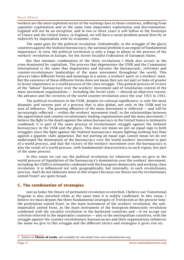#### <span id="page-6-0"></span>Nahuel Moreno

workers are the most exploited sector of the working class in those countries, suffering from capitalist exploitation and at the same time imperialist exploitation and discrimination. England will not be an exception, and in two or three years it will follow in the footsteps of France and the United States; in England, we will have a racial problem posed directly or indirectly by imperialism with its economic crisis.

The same goes for the political revolution. Undoubtedly, in the struggle of the glacis countries against the Stalinist bureaucracy, the national problem is an engine of fundamental importance. In turn, the political revolution is only a stage or phase in the process of the workers' revolution in Europe, for the Soviet Socialist Federation of European States.

But that intimate combination of the three revolutions I think also occurs in the zone dominated by capitalism. The process that degenerates the USSR and the Communist International is the same that degenerates and elevates the bureaucratic, reformist and counter-revolutionary leaderships of the mass movement throughout the world. This process takes different forms and meanings in a union, a workers' party or a workers' state. But the existence of these different forms does not mean they are not part or links of greater or lesser importance to a world process of the class struggle. This general process of victory of the "labour" bureaucracy over the workers' movement and of totalitarian control of the mass movement organisations — including the Soviet state — obeyed an objective reason: the advance and the victories of the world counter-revolution since the year 1925 to 1943.

The political revolution in the USSR, despite its colossal significance, is only the most dramatic and intense part of a process that is also global, not only in the USSR and its area of influence. The growing offensive of the mass movement is reflected — and will be increasingly reflected — within the workers' movement itself, in the relationships between the opportunist and counter-revolutionary leading organisations and the mass movement. I believe the fight to the death against the union bureaucracy in the United States is intimately combined; it is part of the same process of revolutionary struggle against the Stalinist bureaucracy in the USSR and the glacis. This does not mean we put an equal sign to both struggles since the fight against the Stalinist bureaucracy means fighting nothing less than against a gigantic state apparatus. But not putting an equal sign cannot mean we do not understand the domination of the bureaucracy over the world workers' movement is part of a world process, and that the victory of the workers' movement over the bureaucracy is also the result of a world process, with fundamental characteristics in each region, but part of the same process.

In this sense we can say the political revolution (or whatever name we give to the world process of liquidation of the bureaucracy's domination over the workers' movement, including the USSR) is intimately combined with the bourgeois-democratic and working-class revolution; it is influenced not only geographically, but internally, in each revolutionary process. And I do not elaborate more in this respect because our theses (on the revolutionary united front) $3$  are quite broad.

#### **C. The combination of strategies**

Just as today the theory of permanent revolution is enriched, I believe our Transitional Program is also enriched while at the same time it is widely confirmed. In this sense, I believe we must deepen the three fundamental strategies of Trotskyism at the present time: the proletarian united front, as the main instrument of the workers' revolution; the antiimperialist united front, as the main instrument of the bourgeois-democratic revolution combined with the socialist revolution in the backward countries and —if we accept our criterion referred to the imperialist countries — also in the metropolitan countries, with the struggle against the counter-revolutionary bureaucracies and their organisations (whatever the name we give to this struggle and the different tactics and strategies it gives rise to).

<sup>3</sup> Known as **Theses of Leeds**, and available for download from www.nahuelmoreno.org.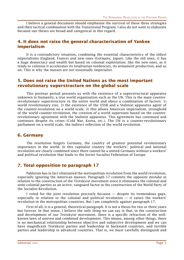<span id="page-7-0"></span>I believe a general document should emphasise the survival of these three strategies and their tactical combination with the Transitional Program. I also do not want to elaborate because our theses are broad and categorical in this regard.

#### **4. It does not raise the general characterisation of Yankee imperialism**

It is a contradictory situation, combining the essential characteristics of the oldest imperialisms (England, France) and new ones (Germany, Japan). Like the old ones, it has a huge democracy and wealth but based on colonial exploitation; like the new ones, as it tends to colonise it accelerates its totalitarian tendencies, its armament production, and so on. This is why the masses are not essentially imperialist.

#### **5. Does not raise the United Nations as the most important revolutionary superstructure on the global scale**

This postwar period presents us with the existence of a superstructural apparatus unknown to humanity, a true world organisation such as the UN. This is the main counterrevolutionary superstructure in the entire world and obeys a combination of factors: 1) world revolutionary rise; 2) the existence of the USSR and a Stalinist apparatus agent of the counter-revolution on a world scale; 3) this allows American imperialism, stronghold of the world counter-revolution, the creation of a world superstate based on the counterrevolutionary agreement with the Stalinist apparatus. This agreement has continued and continues despite its crises (Cold War, Korea, etc.). The UN is a counter-revolutionary parliament on a world scale, the indirect reflection of the world revolution.

#### **6. Germany**

The resolution forgets Germany, the country of greatest potential revolutionary importance in the world. In this capitalist country the workers', political and national revolution are clearly combined since there cannot be a united Germany without a workers' and political revolution that leads to the Soviet Socialist Federation of Europe.

#### **7. Total opposition to paragraph 17**

Pabloism has in fact eliminated the metropolitan revolution from the world revolution, especially ignoring the American masses. Paragraph 17 commits the opposite mistake in relation to the construction of the Trotskyist movement since it eliminates the colonial and semi-colonial parties as an active, vanguard factor in the construction of the World Party of the Socialist Revolution.

I voted for the joint resolution precisely because — despite its tremendous gaps, especially in relation to the colonial and political revolution  $-$  it raises the workers' revolution in the metropolitan countries. But I am completely against paragraph 17.

First of all, it is a general, theoretical paragraph. It is not a thesis for two or three years but forever. In that sense, I believe the only thing we can say is that, in the construction and development of our Trotskyist movement, there is a specific refraction of the wellknown laws of uneven and combined development. This means, among other things, there is no mechanical relationship between objective and subjective development and we can have magnificent Trotskyist parties and leadership in backward countries, and terrible parties and leadership in advanced countries. That is, we must carefully distinguish and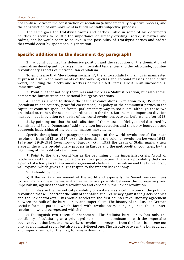<span id="page-8-0"></span>not confuse between the construction of socialism (a fundamentally objective process) and the construction of our movement (a fundamentally subjective process).

The same goes for Trotskyist cadres and parties. Pablo in some of his documents belittles or seems to belittle the importance of already existing Trotskyist parties and cadres, and he would seem to believe in the possibility of Trotskyist parties and cadres that would occur by spontaneous generation.

#### **Specific additions to the document (by paragraph)**

**2.** To point out that the defensive position and the reduction of the domination of imperialism develop until paroxysm the imperialist tendencies and the retrograde, counterrevolutionary aspects of metropolitan capitalism.

To emphasise that "developing socialism", the anti-capitalist dynamics is manifested at present also in the movements of the working class and colonial masses of the entire world, including the blacks and workers of the United States, albeit in an unconscious, immature way.

**3.** Point out that not only there was and there is a Stalinist reaction, but also socialdemocratic, bureaucratic and national-bourgeois reactions.

**4.** There is a need to divide the Stalinist conceptions in relation to a) USSR policy (socialism in one country, peaceful coexistence); b) policy of the communist parties in the capitalist countries (popular fronts, parliamentary way to socialism, although these two are linked or, rather, the second subordinated to the first). But the most important division must be made in relation to the rise of the world revolution, between before and after 1943.

**5.** By pointing out that the radicalisation of the masses is "delayed and distorted by Stalinism and Social Democracy" add the union bureaucracies and the petty-bourgeois and bourgeois leaderships of the colonial masses movement.

Specify throughout the paragraph the stages of the world revolution: a) European revolution from 1943 to 1947; b) to distinguish in the colonial revolution between 1942- 1949 and 1949-1954 (overthrow of Farouk); c) in 1953 the death of Stalin marks a new stage in the whole revolutionary process in Europe and the metropolitan countries, by the beginning of the political revolution.

**7.** Point to the First World War as the beginning of the imperialist crisis. Avoid all fatalism about the immediacy of a crisis of overproduction. There is a possibility that over a period of a few years the economic agreements between imperialism and the bureaucracy will expand, which gives a slight respite to the imperialist economy.

**9.** It should be noted:

a) If the workers' movement of the world and especially the Soviet one continues to rise, more or less permanent agreements are possible between the bureaucracy and imperialism, against the world revolution and especially the Soviet revolution.

b) Emphasise the theoretical possibility of civil wars as a culmination of the political revolution that will confront the bulk of the Stalinist bureaucracy against the glacis peoples and the Soviet workers. This would accelerate the first counter-revolutionary agreement between the bulk of the bureaucracy and imperialism. The history of the Russian-German social-reformist parties, which faced with revolutionary danger joined the counterrevolution, would be repeated with Stalinism.

c) Distinguish two essential phenomena. The Stalinist bureaucracy has only the possibility of subsisting as a privileged sector  $-$  not dominant  $-$  with the imperialist counter-revolution because the workers' revolution sweeps it from the historical scene not only as a dominant sector but also as a privileged one. The dispute between the bureaucracy and imperialism is, for the first, to remain dominant.